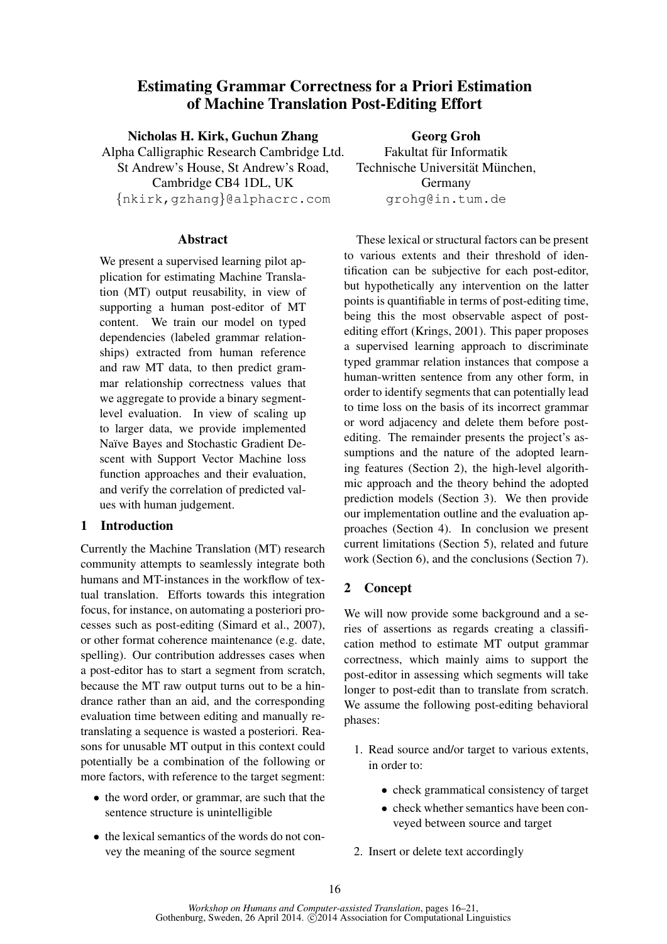# Estimating Grammar Correctness for a Priori Estimation of Machine Translation Post-Editing Effort

Nicholas H. Kirk, Guchun Zhang

Alpha Calligraphic Research Cambridge Ltd. St Andrew's House, St Andrew's Road, Cambridge CB4 1DL, UK {nkirk,gzhang}@alphacrc.com

## Abstract

We present a supervised learning pilot application for estimating Machine Translation (MT) output reusability, in view of supporting a human post-editor of MT content. We train our model on typed dependencies (labeled grammar relationships) extracted from human reference and raw MT data, to then predict grammar relationship correctness values that we aggregate to provide a binary segmentlevel evaluation. In view of scaling up to larger data, we provide implemented Naïve Bayes and Stochastic Gradient Descent with Support Vector Machine loss function approaches and their evaluation, and verify the correlation of predicted values with human judgement.

## 1 Introduction

Currently the Machine Translation (MT) research community attempts to seamlessly integrate both humans and MT-instances in the workflow of textual translation. Efforts towards this integration focus, for instance, on automating a posteriori processes such as post-editing (Simard et al., 2007), or other format coherence maintenance (e.g. date, spelling). Our contribution addresses cases when a post-editor has to start a segment from scratch, because the MT raw output turns out to be a hindrance rather than an aid, and the corresponding evaluation time between editing and manually retranslating a sequence is wasted a posteriori. Reasons for unusable MT output in this context could potentially be a combination of the following or more factors, with reference to the target segment:

- the word order, or grammar, are such that the sentence structure is unintelligible
- the lexical semantics of the words do not convey the meaning of the source segment

Georg Groh Fakultat für Informatik Technische Universität München. Germany grohg@in.tum.de

These lexical or structural factors can be present to various extents and their threshold of identification can be subjective for each post-editor, but hypothetically any intervention on the latter points is quantifiable in terms of post-editing time, being this the most observable aspect of postediting effort (Krings, 2001). This paper proposes a supervised learning approach to discriminate typed grammar relation instances that compose a human-written sentence from any other form, in order to identify segments that can potentially lead to time loss on the basis of its incorrect grammar or word adjacency and delete them before postediting. The remainder presents the project's assumptions and the nature of the adopted learning features (Section 2), the high-level algorithmic approach and the theory behind the adopted prediction models (Section 3). We then provide our implementation outline and the evaluation approaches (Section 4). In conclusion we present current limitations (Section 5), related and future work (Section 6), and the conclusions (Section 7).

# 2 Concept

We will now provide some background and a series of assertions as regards creating a classification method to estimate MT output grammar correctness, which mainly aims to support the post-editor in assessing which segments will take longer to post-edit than to translate from scratch. We assume the following post-editing behavioral phases:

- 1. Read source and/or target to various extents, in order to:
	- check grammatical consistency of target
	- check whether semantics have been conveyed between source and target
- 2. Insert or delete text accordingly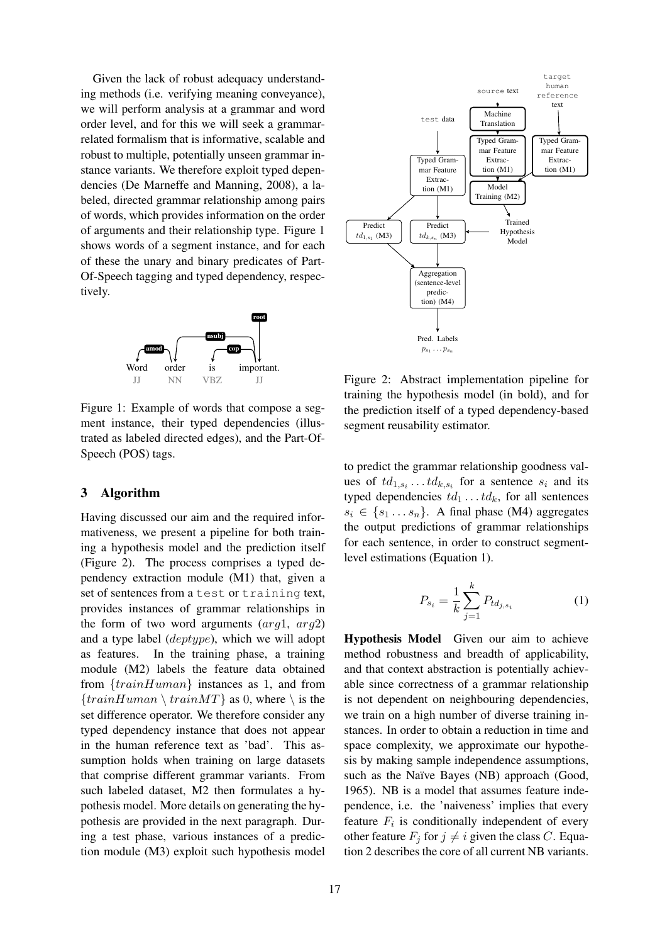Given the lack of robust adequacy understanding methods (i.e. verifying meaning conveyance), we will perform analysis at a grammar and word order level, and for this we will seek a grammarrelated formalism that is informative, scalable and robust to multiple, potentially unseen grammar instance variants. We therefore exploit typed dependencies (De Marneffe and Manning, 2008), a labeled, directed grammar relationship among pairs of words, which provides information on the order of arguments and their relationship type. Figure 1 shows words of a segment instance, and for each of these the unary and binary predicates of Part-Of-Speech tagging and typed dependency, respectively.



Figure 1: Example of words that compose a segment instance, their typed dependencies (illustrated as labeled directed edges), and the Part-Of-Speech (POS) tags.

## 3 Algorithm

Having discussed our aim and the required informativeness, we present a pipeline for both training a hypothesis model and the prediction itself (Figure 2). The process comprises a typed dependency extraction module (M1) that, given a set of sentences from a test or training text, provides instances of grammar relationships in the form of two word arguments  $(\arg l, \arg l)$ and a type label (deptype), which we will adopt as features. In the training phase, a training module (M2) labels the feature data obtained from  $\{trainHuman\}$  instances as 1, and from  ${trainHuman \ (trainMT)$  as 0, where  $\ \i$  is the set difference operator. We therefore consider any typed dependency instance that does not appear in the human reference text as 'bad'. This assumption holds when training on large datasets that comprise different grammar variants. From such labeled dataset, M2 then formulates a hypothesis model. More details on generating the hypothesis are provided in the next paragraph. During a test phase, various instances of a prediction module (M3) exploit such hypothesis model



Figure 2: Abstract implementation pipeline for training the hypothesis model (in bold), and for the prediction itself of a typed dependency-based segment reusability estimator.

to predict the grammar relationship goodness values of  $td_{1,s_i} \ldots td_{k,s_i}$  for a sentence  $s_i$  and its typed dependencies  $td_1 \ldots td_k$ , for all sentences  $s_i \in \{s_1 \dots s_n\}.$  A final phase (M4) aggregates the output predictions of grammar relationships for each sentence, in order to construct segmentlevel estimations (Equation 1).

$$
P_{s_i} = \frac{1}{k} \sum_{j=1}^{k} P_{td_{j,s_i}} \tag{1}
$$

Hypothesis Model Given our aim to achieve method robustness and breadth of applicability, and that context abstraction is potentially achievable since correctness of a grammar relationship is not dependent on neighbouring dependencies, we train on a high number of diverse training instances. In order to obtain a reduction in time and space complexity, we approximate our hypothesis by making sample independence assumptions, such as the Naïve Bayes (NB) approach (Good, 1965). NB is a model that assumes feature independence, i.e. the 'naiveness' implies that every feature  $F_i$  is conditionally independent of every other feature  $F_i$  for  $j \neq i$  given the class C. Equation 2 describes the core of all current NB variants.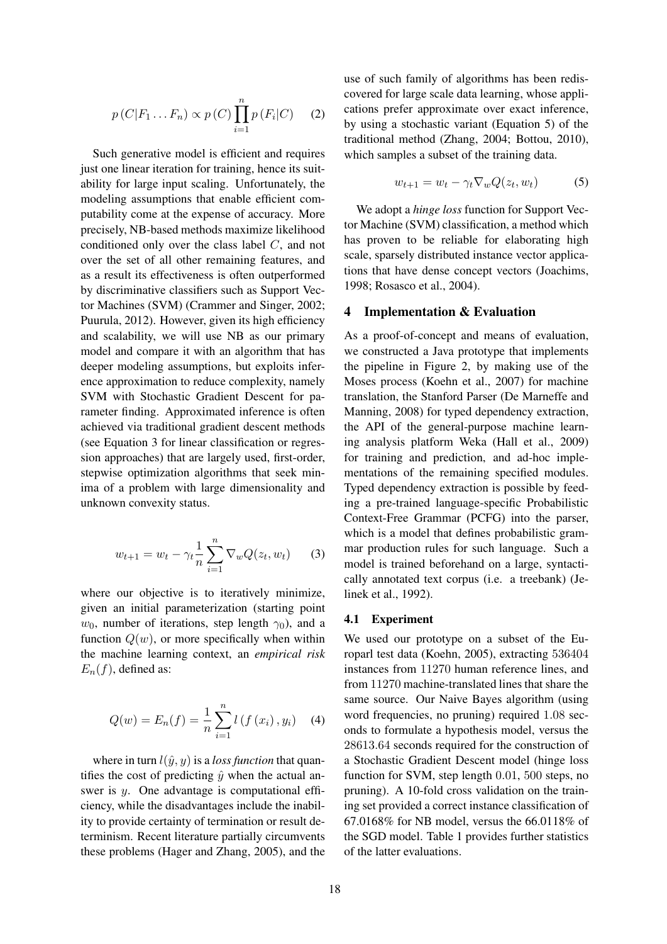$$
p(C|F_1...F_n) \propto p(C) \prod_{i=1}^n p(F_i|C) \qquad (2)
$$

Such generative model is efficient and requires just one linear iteration for training, hence its suitability for large input scaling. Unfortunately, the modeling assumptions that enable efficient computability come at the expense of accuracy. More precisely, NB-based methods maximize likelihood conditioned only over the class label C, and not over the set of all other remaining features, and as a result its effectiveness is often outperformed by discriminative classifiers such as Support Vector Machines (SVM) (Crammer and Singer, 2002; Puurula, 2012). However, given its high efficiency and scalability, we will use NB as our primary model and compare it with an algorithm that has deeper modeling assumptions, but exploits inference approximation to reduce complexity, namely SVM with Stochastic Gradient Descent for parameter finding. Approximated inference is often achieved via traditional gradient descent methods (see Equation 3 for linear classification or regression approaches) that are largely used, first-order, stepwise optimization algorithms that seek minima of a problem with large dimensionality and unknown convexity status.

$$
w_{t+1} = w_t - \gamma_t \frac{1}{n} \sum_{i=1}^n \nabla_w Q(z_t, w_t)
$$
 (3)

where our objective is to iteratively minimize, given an initial parameterization (starting point  $w_0$ , number of iterations, step length  $\gamma_0$ ), and a function  $Q(w)$ , or more specifically when within the machine learning context, an *empirical risk*  $E_n(f)$ , defined as:

$$
Q(w) = E_n(f) = \frac{1}{n} \sum_{i=1}^{n} l(f(x_i), y_i)
$$
 (4)

where in turn  $l(\hat{y}, y)$  is a *loss function* that quantifies the cost of predicting  $\hat{y}$  when the actual answer is y. One advantage is computational efficiency, while the disadvantages include the inability to provide certainty of termination or result determinism. Recent literature partially circumvents these problems (Hager and Zhang, 2005), and the use of such family of algorithms has been rediscovered for large scale data learning, whose applications prefer approximate over exact inference, by using a stochastic variant (Equation 5) of the traditional method (Zhang, 2004; Bottou, 2010), which samples a subset of the training data.

$$
w_{t+1} = w_t - \gamma_t \nabla_w Q(z_t, w_t)
$$
 (5)

We adopt a *hinge loss* function for Support Vector Machine (SVM) classification, a method which has proven to be reliable for elaborating high scale, sparsely distributed instance vector applications that have dense concept vectors (Joachims, 1998; Rosasco et al., 2004).

## 4 Implementation & Evaluation

As a proof-of-concept and means of evaluation, we constructed a Java prototype that implements the pipeline in Figure 2, by making use of the Moses process (Koehn et al., 2007) for machine translation, the Stanford Parser (De Marneffe and Manning, 2008) for typed dependency extraction, the API of the general-purpose machine learning analysis platform Weka (Hall et al., 2009) for training and prediction, and ad-hoc implementations of the remaining specified modules. Typed dependency extraction is possible by feeding a pre-trained language-specific Probabilistic Context-Free Grammar (PCFG) into the parser, which is a model that defines probabilistic grammar production rules for such language. Such a model is trained beforehand on a large, syntactically annotated text corpus (i.e. a treebank) (Jelinek et al., 1992).

#### 4.1 Experiment

We used our prototype on a subset of the Europarl test data (Koehn, 2005), extracting 536404 instances from 11270 human reference lines, and from 11270 machine-translated lines that share the same source. Our Naive Bayes algorithm (using word frequencies, no pruning) required 1.08 seconds to formulate a hypothesis model, versus the 28613.64 seconds required for the construction of a Stochastic Gradient Descent model (hinge loss function for SVM, step length 0.01, 500 steps, no pruning). A 10-fold cross validation on the training set provided a correct instance classification of 67.0168% for NB model, versus the 66.0118% of the SGD model. Table 1 provides further statistics of the latter evaluations.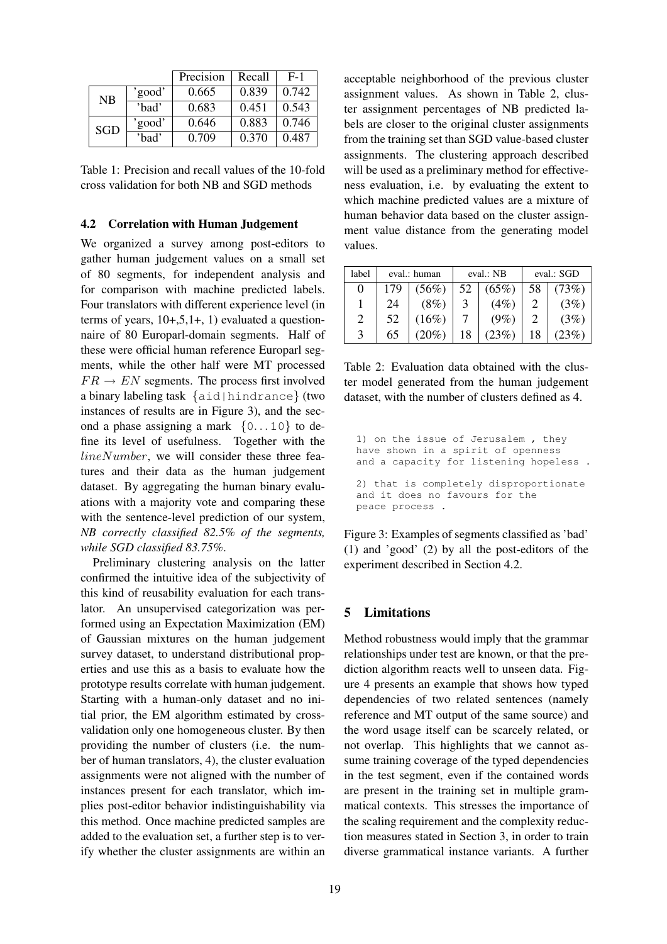|            |        | Precision | Recall | $F-1$ |
|------------|--------|-----------|--------|-------|
| NB         | 'good' | 0.665     | 0.839  | 0.742 |
|            | 'bad'  | 0.683     | 0.451  | 0.543 |
| <b>SGD</b> | 'good' | 0.646     | 0.883  | 0.746 |
|            | 'bad'  | 0.709     | 0.370  | 0.487 |

Table 1: Precision and recall values of the 10-fold cross validation for both NB and SGD methods

## 4.2 Correlation with Human Judgement

We organized a survey among post-editors to gather human judgement values on a small set of 80 segments, for independent analysis and for comparison with machine predicted labels. Four translators with different experience level (in terms of years,  $10+,5,1+, 1$ ) evaluated a questionnaire of 80 Europarl-domain segments. Half of these were official human reference Europarl segments, while the other half were MT processed  $FR \rightarrow EN$  segments. The process first involved a binary labeling task {aid|hindrance} (two instances of results are in Figure 3), and the second a phase assigning a mark  $\{0...10\}$  to define its level of usefulness. Together with the  $lineNumber$ , we will consider these three features and their data as the human judgement dataset. By aggregating the human binary evaluations with a majority vote and comparing these with the sentence-level prediction of our system, *NB correctly classified 82.5% of the segments, while SGD classified 83.75%*.

Preliminary clustering analysis on the latter confirmed the intuitive idea of the subjectivity of this kind of reusability evaluation for each translator. An unsupervised categorization was performed using an Expectation Maximization (EM) of Gaussian mixtures on the human judgement survey dataset, to understand distributional properties and use this as a basis to evaluate how the prototype results correlate with human judgement. Starting with a human-only dataset and no initial prior, the EM algorithm estimated by crossvalidation only one homogeneous cluster. By then providing the number of clusters (i.e. the number of human translators, 4), the cluster evaluation assignments were not aligned with the number of instances present for each translator, which implies post-editor behavior indistinguishability via this method. Once machine predicted samples are added to the evaluation set, a further step is to verify whether the cluster assignments are within an acceptable neighborhood of the previous cluster assignment values. As shown in Table 2, cluster assignment percentages of NB predicted labels are closer to the original cluster assignments from the training set than SGD value-based cluster assignments. The clustering approach described will be used as a preliminary method for effectiveness evaluation, i.e. by evaluating the extent to which machine predicted values are a mixture of human behavior data based on the cluster assignment value distance from the generating model values.

| label                       | eval.: human |          | eval.: NB |         | eval.: SGD |         |
|-----------------------------|--------------|----------|-----------|---------|------------|---------|
| $\theta$                    | 179          | $(56\%)$ | 52        | (65%)   | 58         | (73%)   |
|                             | 24           | $(8\%)$  | 3         | (4%)    |            | (3%)    |
| $\mathcal{D}_{\mathcal{A}}$ | 52           | $(16\%)$ |           | $(9\%)$ |            | (3%)    |
|                             | 65           | $(20\%$  |           | (23%    |            | $23\%)$ |

Table 2: Evaluation data obtained with the cluster model generated from the human judgement dataset, with the number of clusters defined as 4.

1) on the issue of Jerusalem , they have shown in a spirit of openness and a capacity for listening hopeless . 2) that is completely disproportionate and it does no favours for the peace process .

Figure 3: Examples of segments classified as 'bad' (1) and 'good' (2) by all the post-editors of the experiment described in Section 4.2.

### 5 Limitations

Method robustness would imply that the grammar relationships under test are known, or that the prediction algorithm reacts well to unseen data. Figure 4 presents an example that shows how typed dependencies of two related sentences (namely reference and MT output of the same source) and the word usage itself can be scarcely related, or not overlap. This highlights that we cannot assume training coverage of the typed dependencies in the test segment, even if the contained words are present in the training set in multiple grammatical contexts. This stresses the importance of the scaling requirement and the complexity reduction measures stated in Section 3, in order to train diverse grammatical instance variants. A further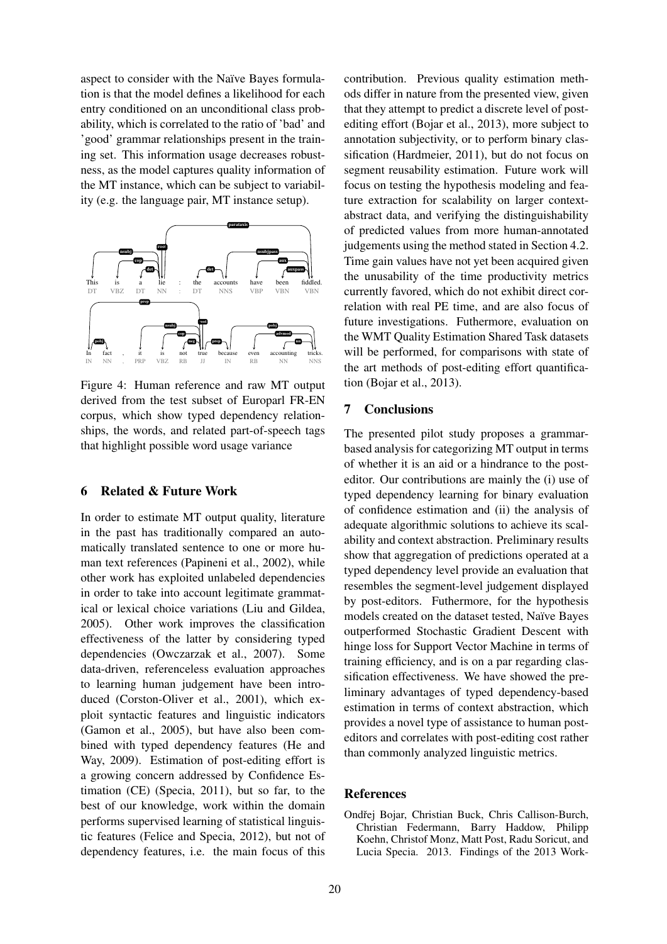aspect to consider with the Naïve Bayes formulation is that the model defines a likelihood for each entry conditioned on an unconditional class probability, which is correlated to the ratio of 'bad' and 'good' grammar relationships present in the training set. This information usage decreases robustness, as the model captures quality information of the MT instance, which can be subject to variability (e.g. the language pair, MT instance setup).



Figure 4: Human reference and raw MT output derived from the test subset of Europarl FR-EN corpus, which show typed dependency relationships, the words, and related part-of-speech tags that highlight possible word usage variance

## 6 Related & Future Work

In order to estimate MT output quality, literature in the past has traditionally compared an automatically translated sentence to one or more human text references (Papineni et al., 2002), while other work has exploited unlabeled dependencies in order to take into account legitimate grammatical or lexical choice variations (Liu and Gildea, 2005). Other work improves the classification effectiveness of the latter by considering typed dependencies (Owczarzak et al., 2007). Some data-driven, referenceless evaluation approaches to learning human judgement have been introduced (Corston-Oliver et al., 2001), which exploit syntactic features and linguistic indicators (Gamon et al., 2005), but have also been combined with typed dependency features (He and Way, 2009). Estimation of post-editing effort is a growing concern addressed by Confidence Estimation (CE) (Specia, 2011), but so far, to the best of our knowledge, work within the domain performs supervised learning of statistical linguistic features (Felice and Specia, 2012), but not of dependency features, i.e. the main focus of this

contribution. Previous quality estimation methods differ in nature from the presented view, given that they attempt to predict a discrete level of postediting effort (Bojar et al., 2013), more subject to annotation subjectivity, or to perform binary classification (Hardmeier, 2011), but do not focus on segment reusability estimation. Future work will focus on testing the hypothesis modeling and feature extraction for scalability on larger contextabstract data, and verifying the distinguishability of predicted values from more human-annotated judgements using the method stated in Section 4.2. Time gain values have not yet been acquired given the unusability of the time productivity metrics currently favored, which do not exhibit direct correlation with real PE time, and are also focus of future investigations. Futhermore, evaluation on the WMT Quality Estimation Shared Task datasets will be performed, for comparisons with state of the art methods of post-editing effort quantification (Bojar et al., 2013).

## 7 Conclusions

The presented pilot study proposes a grammarbased analysis for categorizing MT output in terms of whether it is an aid or a hindrance to the posteditor. Our contributions are mainly the (i) use of typed dependency learning for binary evaluation of confidence estimation and (ii) the analysis of adequate algorithmic solutions to achieve its scalability and context abstraction. Preliminary results show that aggregation of predictions operated at a typed dependency level provide an evaluation that resembles the segment-level judgement displayed by post-editors. Futhermore, for the hypothesis models created on the dataset tested, Naïve Bayes outperformed Stochastic Gradient Descent with hinge loss for Support Vector Machine in terms of training efficiency, and is on a par regarding classification effectiveness. We have showed the preliminary advantages of typed dependency-based estimation in terms of context abstraction, which provides a novel type of assistance to human posteditors and correlates with post-editing cost rather than commonly analyzed linguistic metrics.

## References

Ondřej Bojar, Christian Buck, Chris Callison-Burch, Christian Federmann, Barry Haddow, Philipp Koehn, Christof Monz, Matt Post, Radu Soricut, and Lucia Specia. 2013. Findings of the 2013 Work